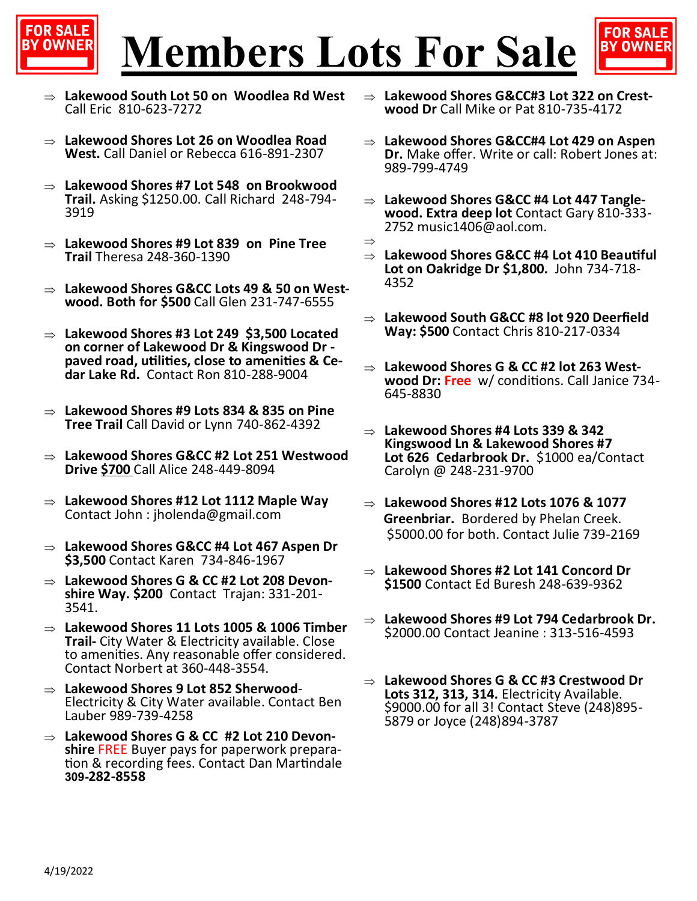

## **Members Lots For Sale**

 $\Rightarrow$ 



- **Lakewood South Lot 50 on Woodlea Rd West** Call Eric 810-623-7272
- **Lakewood Shores Lot 26 on Woodlea Road West.** Call Daniel or Rebecca 616-891-2307
- **Lakewood Shores #7 Lot 548 on Brookwood Trail.** Asking \$1250.00. Call Richard 248-794- 3919
- **Lakewood Shores #9 Lot 839 on Pine Tree Trail** Theresa 248-360-1390
- **Lakewood Shores G&CC Lots 49 & 50 on Westwood. Both for \$500** Call Glen 231-747-6555
- **Lakewood Shores #3 Lot 249 \$3,500 Located on corner of Lakewood Dr & Kingswood Dr paved road, utilities, close to amenities & Cedar Lake Rd.** Contact Ron 810-288-9004
- **Lakewood Shores #9 Lots 834 & 835 on Pine Tree Trail** Call David or Lynn 740-862-4392
- **Lakewood Shores G&CC #2 Lot 251 Westwood Drive \$700** Call Alice 248-449-8094
- **Lakewood Shores #12 Lot 1112 Maple Way**  Contact John : jholenda@gmail.com
- **Lakewood Shores G&CC #4 Lot 467 Aspen Dr \$3,500** Contact Karen 734-846-1967
- **Lakewood Shores G & CC #2 Lot 208 Devonshire Way. \$200** Contact Trajan: 331-201- 3541.
- **Lakewood Shores 11 Lots 1005 & 1006 Timber Trail-** City Water & Electricity available. Close to amenities. Any reasonable offer considered. Contact Norbert at 360-448-3554.
- **Lakewood Shores 9 Lot 852 Sherwood**-Electricity & City Water available. Contact Ben Lauber 989-739-4258
- **Lakewood Shores G & CC #2 Lot 210 Devonshire** FREE Buyer pays for paperwork preparation & recording fees. Contact Dan Martindale **309-282-8558**
- **Lakewood Shores G&CC#3 Lot 322 on Crestwood Dr** Call Mike or Pat 810-735-4172
- **Lakewood Shores G&CC#4 Lot 429 on Aspen Dr.** Make offer. Write or call: Robert Jones at: 989-799-4749
- **Lakewood Shores G&CC #4 Lot 447 Tanglewood. Extra deep lot** Contact Gary 810-333- 2752 music1406@aol.com.
- **Lakewood Shores G&CC #4 Lot 410 Beautiful Lot on Oakridge Dr \$1,800.** John 734-718- 4352
- **Lakewood South G&CC #8 lot 920 Deerfield Way: \$500** Contact Chris 810-217-0334
- **Lakewood Shores G & CC #2 lot 263 Westwood Dr: Free** w/ conditions. Call Janice 734- 645-8830
- **Lakewood Shores #4 Lots 339 & 342 Kingswood Ln & Lakewood Shores #7 Lot 626 Cedarbrook Dr.** \$1000 ea/Contact Carolyn @ 248-231-9700
- **Lakewood Shores #12 Lots 1076 & 1077 Greenbriar.** Bordered by Phelan Creek. \$5000.00 for both. Contact Julie 739-2169
- **Lakewood Shores #2 Lot 141 Concord Dr \$1500** Contact Ed Buresh 248-639-9362
- **Lakewood Shores #9 Lot 794 Cedarbrook Dr.**  \$2000.00 Contact Jeanine : 313-516-4593
- **Lakewood Shores G & CC #3 Crestwood Dr Lots 312, 313, 314.** Electricity Available. \$9000.00 for all 3! Contact Steve (248)895- 5879 or Joyce (248)894-3787